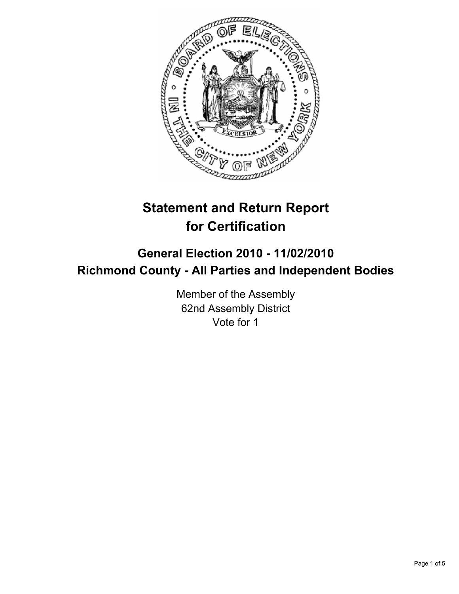

# **Statement and Return Report for Certification**

## **General Election 2010 - 11/02/2010 Richmond County - All Parties and Independent Bodies**

Member of the Assembly 62nd Assembly District Vote for 1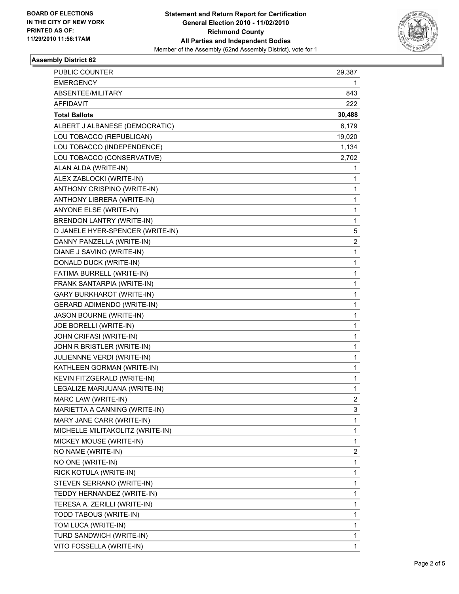

#### **Assembly District 62**

| <b>PUBLIC COUNTER</b>            | 29,387 |
|----------------------------------|--------|
| <b>EMERGENCY</b>                 | 1      |
| ABSENTEE/MILITARY                | 843    |
| <b>AFFIDAVIT</b>                 | 222    |
| <b>Total Ballots</b>             | 30,488 |
| ALBERT J ALBANESE (DEMOCRATIC)   | 6,179  |
| LOU TOBACCO (REPUBLICAN)         | 19,020 |
| LOU TOBACCO (INDEPENDENCE)       | 1,134  |
| LOU TOBACCO (CONSERVATIVE)       | 2,702  |
| ALAN ALDA (WRITE-IN)             | 1      |
| ALEX ZABLOCKI (WRITE-IN)         | 1      |
| ANTHONY CRISPINO (WRITE-IN)      | 1      |
| ANTHONY LIBRERA (WRITE-IN)       | 1      |
| ANYONE ELSE (WRITE-IN)           | 1      |
| BRENDON LANTRY (WRITE-IN)        | 1      |
| D JANELE HYER-SPENCER (WRITE-IN) | 5      |
| DANNY PANZELLA (WRITE-IN)        | 2      |
| DIANE J SAVINO (WRITE-IN)        | 1      |
| DONALD DUCK (WRITE-IN)           | 1      |
| FATIMA BURRELL (WRITE-IN)        | 1      |
| FRANK SANTARPIA (WRITE-IN)       | 1      |
| <b>GARY BURKHAROT (WRITE-IN)</b> | 1      |
| GERARD ADIMENDO (WRITE-IN)       | 1      |
| JASON BOURNE (WRITE-IN)          | 1      |
| JOE BORELLI (WRITE-IN)           | 1      |
| JOHN CRIFASI (WRITE-IN)          | 1      |
| JOHN R BRISTLER (WRITE-IN)       | 1      |
| JULIENNNE VERDI (WRITE-IN)       | 1      |
| KATHLEEN GORMAN (WRITE-IN)       | 1      |
| KEVIN FITZGERALD (WRITE-IN)      | 1      |
| LEGALIZE MARIJUANA (WRITE-IN)    | 1      |
| MARC LAW (WRITE-IN)              | 2      |
| MARIETTA A CANNING (WRITE-IN)    | 3      |
| MARY JANE CARR (WRITE-IN)        | 1      |
| MICHELLE MILITAKOLITZ (WRITE-IN) | 1      |
| MICKEY MOUSE (WRITE-IN)          | 1      |
| NO NAME (WRITE-IN)               | 2      |
| NO ONE (WRITE-IN)                | 1      |
| RICK KOTULA (WRITE-IN)           | 1      |
| STEVEN SERRANO (WRITE-IN)        | 1      |
| TEDDY HERNANDEZ (WRITE-IN)       | 1      |
| TERESA A. ZERILLI (WRITE-IN)     | 1      |
| TODD TABOUS (WRITE-IN)           | 1      |
| TOM LUCA (WRITE-IN)              | 1      |
| TURD SANDWICH (WRITE-IN)         | 1      |
| VITO FOSSELLA (WRITE-IN)         | 1      |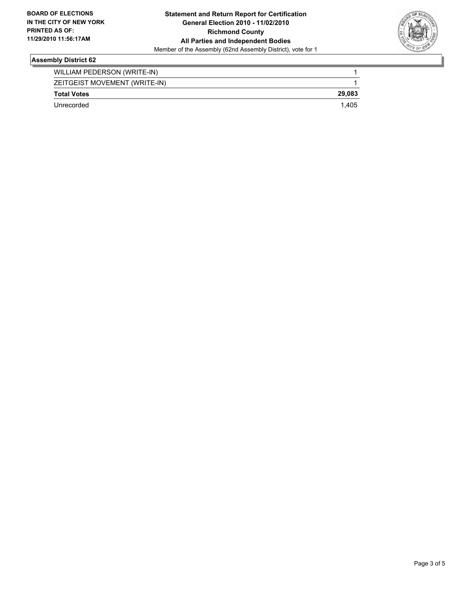

#### **Assembly District 62**

| WILLIAM PEDERSON (WRITE-IN)   |        |
|-------------------------------|--------|
| ZEITGEIST MOVEMENT (WRITE-IN) |        |
| <b>Total Votes</b>            | 29.083 |
| Unrecorded                    | 1.405  |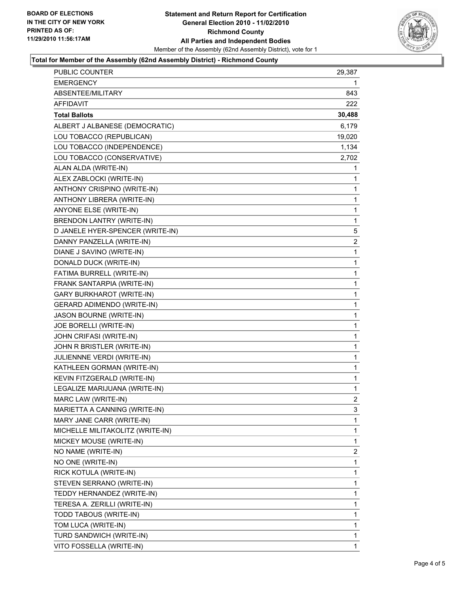

#### **Total for Member of the Assembly (62nd Assembly District) - Richmond County**

| PUBLIC COUNTER                   | 29,387         |
|----------------------------------|----------------|
| <b>EMERGENCY</b>                 | 1              |
| ABSENTEE/MILITARY                | 843            |
| <b>AFFIDAVIT</b>                 | 222.           |
| <b>Total Ballots</b>             | 30,488         |
| ALBERT J ALBANESE (DEMOCRATIC)   | 6,179          |
| LOU TOBACCO (REPUBLICAN)         | 19,020         |
| LOU TOBACCO (INDEPENDENCE)       | 1,134          |
| LOU TOBACCO (CONSERVATIVE)       | 2,702          |
| ALAN ALDA (WRITE-IN)             | 1              |
| ALEX ZABLOCKI (WRITE-IN)         | 1              |
| ANTHONY CRISPINO (WRITE-IN)      | 1              |
| ANTHONY LIBRERA (WRITE-IN)       | 1              |
| ANYONE ELSE (WRITE-IN)           | 1              |
| <b>BRENDON LANTRY (WRITE-IN)</b> | 1              |
| D JANELE HYER-SPENCER (WRITE-IN) | 5              |
| DANNY PANZELLA (WRITE-IN)        | 2              |
| DIANE J SAVINO (WRITE-IN)        | 1              |
| DONALD DUCK (WRITE-IN)           | 1              |
| FATIMA BURRELL (WRITE-IN)        | 1              |
| FRANK SANTARPIA (WRITE-IN)       | 1              |
| GARY BURKHAROT (WRITE-IN)        | 1              |
| GERARD ADIMENDO (WRITE-IN)       | 1              |
| JASON BOURNE (WRITE-IN)          | 1              |
| JOE BORELLI (WRITE-IN)           | 1              |
| JOHN CRIFASI (WRITE-IN)          | 1              |
| JOHN R BRISTLER (WRITE-IN)       | 1              |
| JULIENNNE VERDI (WRITE-IN)       | 1              |
| KATHLEEN GORMAN (WRITE-IN)       | 1              |
| KEVIN FITZGERALD (WRITE-IN)      | 1              |
| LEGALIZE MARIJUANA (WRITE-IN)    | 1              |
| MARC LAW (WRITE-IN)              | $\overline{2}$ |
| MARIETTA A CANNING (WRITE-IN)    | 3              |
| MARY JANE CARR (WRITE-IN)        | 1              |
| MICHELLE MILITAKOLITZ (WRITE-IN) | 1              |
| MICKEY MOUSE (WRITE-IN)          | 1              |
| NO NAME (WRITE-IN)               | 2              |
| NO ONE (WRITE-IN)                | 1              |
| RICK KOTULA (WRITE-IN)           | 1              |
| STEVEN SERRANO (WRITE-IN)        | 1              |
| TEDDY HERNANDEZ (WRITE-IN)       | 1              |
| TERESA A. ZERILLI (WRITE-IN)     | 1              |
| TODD TABOUS (WRITE-IN)           | 1              |
| TOM LUCA (WRITE-IN)              | 1              |
| TURD SANDWICH (WRITE-IN)         | 1              |
| VITO FOSSELLA (WRITE-IN)         | 1              |